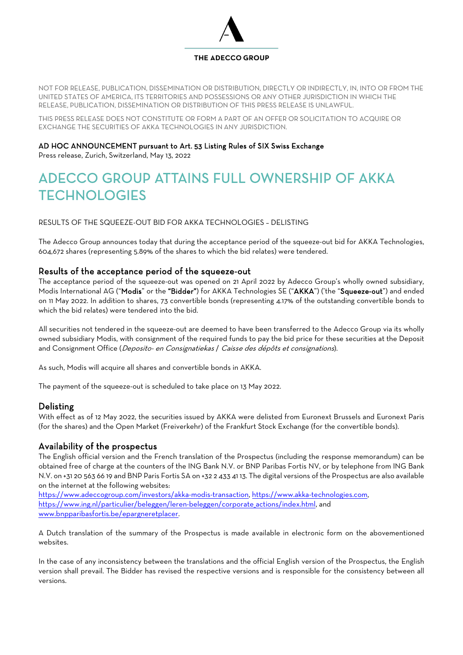

NOT FOR RELEASE, PUBLICATION, DISSEMINATION OR DISTRIBUTION, DIRECTLY OR INDIRECTLY, IN, INTO OR FROM THE UNITED STATES OF AMERICA, ITS TERRITORIES AND POSSESSIONS OR ANY OTHER JURISDICTION IN WHICH THE RELEASE, PUBLICATION, DISSEMINATION OR DISTRIBUTION OF THIS PRESS RELEASE IS UNLAWFUL.

THIS PRESS RELEASE DOES NOT CONSTITUTE OR FORM A PART OF AN OFFER OR SOLICITATION TO ACQUIRE OR EXCHANGE THE SECURITIES OF AKKA TECHNOLOGIES IN ANY JURISDICTION.

# AD HOC ANNOUNCEMENT pursuant to Art. 53 Listing Rules of SIX Swiss Exchange

Press release, Zurich, Switzerland, May 13, 2022

# ADECCO GROUP ATTAINS FULL OWNERSHIP OF AKKA **TECHNOLOGIES**

RESULTS OF THE SQUEEZE-OUT BID FOR AKKA TECHNOLOGIES – DELISTING

The Adecco Group announces today that during the acceptance period of the squeeze-out bid for AKKA Technologies, 604,672 shares (representing 5.89% of the shares to which the bid relates) were tendered.

# Results of the acceptance period of the squeeze-out

The acceptance period of the squeeze-out was opened on 21 April 2022 by Adecco Group's wholly owned subsidiary, Modis International AG ("Modis" or the "Bidder") for AKKA Technologies SE ("AKKA") ('the "Squeeze-out") and ended on 11 May 2022. In addition to shares, 73 convertible bonds (representing 4.17% of the outstanding convertible bonds to which the bid relates) were tendered into the bid.

All securities not tendered in the squeeze-out are deemed to have been transferred to the Adecco Group via its wholly owned subsidiary Modis, with consignment of the required funds to pay the bid price for these securities at the Deposit and Consignment Office (Deposito- en Consignatiekas / Caisse des dépôts et consignations).

As such, Modis will acquire all shares and convertible bonds in AKKA.

The payment of the squeeze-out is scheduled to take place on 13 May 2022.

# Delisting

With effect as of 12 May 2022, the securities issued by AKKA were delisted from Euronext Brussels and Euronext Paris (for the shares) and the Open Market (Freiverkehr) of the Frankfurt Stock Exchange (for the convertible bonds).

# Availability of the prospectus

The English official version and the French translation of the Prospectus (including the response memorandum) can be obtained free of charge at the counters of the ING Bank N.V. or BNP Paribas Fortis NV, or by telephone from ING Bank N.V. on +31 20 563 66 19 and BNP Paris Fortis SA on +32 2 433 41 13. The digital versions of the Prospectus are also available on the internet at the following websites:

https://www.adeccogroup.com/investors/akka-modis-transaction, https://www.akka-technologies.com, https://www.ing.nl/particulier/beleggen/leren-beleggen/corporate\_actions/index.html, and www.bnpparibasfortis.be/epargneretplacer.

A Dutch translation of the summary of the Prospectus is made available in electronic form on the abovementioned websites.

In the case of any inconsistency between the translations and the official English version of the Prospectus, the English version shall prevail. The Bidder has revised the respective versions and is responsible for the consistency between all versions.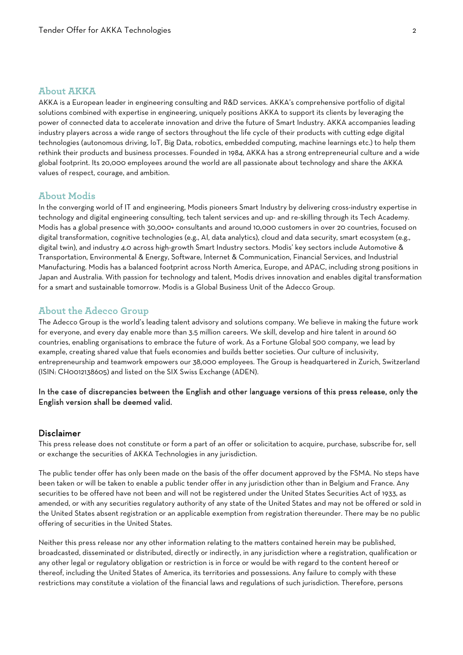## **About AKKA**

AKKA is a European leader in engineering consulting and R&D services. AKKA's comprehensive portfolio of digital solutions combined with expertise in engineering, uniquely positions AKKA to support its clients by leveraging the power of connected data to accelerate innovation and drive the future of Smart Industry. AKKA accompanies leading industry players across a wide range of sectors throughout the life cycle of their products with cutting edge digital technologies (autonomous driving, IoT, Big Data, robotics, embedded computing, machine learnings etc.) to help them rethink their products and business processes. Founded in 1984, AKKA has a strong entrepreneurial culture and a wide global footprint. Its 20,000 employees around the world are all passionate about technology and share the AKKA values of respect, courage, and ambition.

#### **About Modis**

In the converging world of IT and engineering, Modis pioneers Smart Industry by delivering cross-industry expertise in technology and digital engineering consulting, tech talent services and up- and re-skilling through its Tech Academy. Modis has a global presence with 30,000+ consultants and around 10,000 customers in over 20 countries, focused on digital transformation, cognitive technologies (e.g., AI, data analytics), cloud and data security, smart ecosystem (e.g., digital twin), and industry 4.0 across high-growth Smart Industry sectors. Modis' key sectors include Automotive & Transportation, Environmental & Energy, Software, Internet & Communication, Financial Services, and Industrial Manufacturing. Modis has a balanced footprint across North America, Europe, and APAC, including strong positions in Japan and Australia. With passion for technology and talent, Modis drives innovation and enables digital transformation for a smart and sustainable tomorrow. Modis is a Global Business Unit of the Adecco Group.

## **About the Adecco Group**

The Adecco Group is the world's leading talent advisory and solutions company. We believe in making the future work for everyone, and every day enable more than 3.5 million careers. We skill, develop and hire talent in around 60 countries, enabling organisations to embrace the future of work. As a Fortune Global 500 company, we lead by example, creating shared value that fuels economies and builds better societies. Our culture of inclusivity, entrepreneurship and teamwork empowers our 38,000 employees. The Group is headquartered in Zurich, Switzerland (ISIN: CH0012138605) and listed on the SIX Swiss Exchange (ADEN).

#### In the case of discrepancies between the English and other language versions of this press release, only the English version shall be deemed valid.

#### Disclaimer

This press release does not constitute or form a part of an offer or solicitation to acquire, purchase, subscribe for, sell or exchange the securities of AKKA Technologies in any jurisdiction.

The public tender offer has only been made on the basis of the offer document approved by the FSMA. No steps have been taken or will be taken to enable a public tender offer in any jurisdiction other than in Belgium and France. Any securities to be offered have not been and will not be registered under the United States Securities Act of 1933, as amended, or with any securities regulatory authority of any state of the United States and may not be offered or sold in the United States absent registration or an applicable exemption from registration thereunder. There may be no public offering of securities in the United States.

Neither this press release nor any other information relating to the matters contained herein may be published, broadcasted, disseminated or distributed, directly or indirectly, in any jurisdiction where a registration, qualification or any other legal or regulatory obligation or restriction is in force or would be with regard to the content hereof or thereof, including the United States of America, its territories and possessions. Any failure to comply with these restrictions may constitute a violation of the financial laws and regulations of such jurisdiction. Therefore, persons